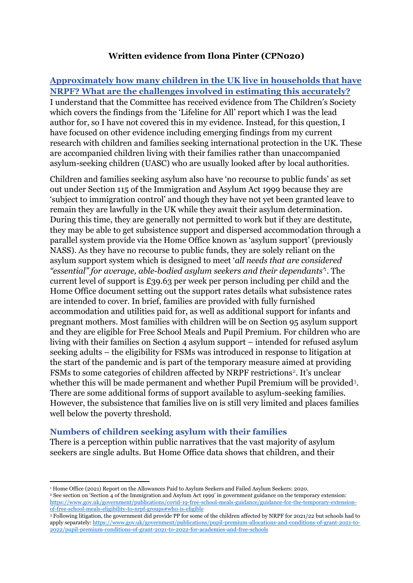### **Written evidence from Ilona Pinter (CPN020)**

## **Approximately how many children in the UK live in households that have NRPF? What are the challenges involved in estimating this accurately?** I understand that the Committee has received evidence from The Children's Society which covers the findings from the 'Lifeline for All' report which I was the lead author for, so I have not covered this in my evidence. Instead, for this question, I have focused on other evidence including emerging findings from my current research with children and families seeking international protection in the UK. These are accompanied children living with their families rather than unaccompanied asylum-seeking children (UASC) who are usually looked after by local authorities.

Children and families seeking asylum also have 'no recourse to public funds' as set out under Section 115 of the Immigration and Asylum Act 1999 because they are 'subject to immigration control' and though they have not yet been granted leave to remain they are lawfully in the UK while they await their asylum determination. During this time, they are generally not permitted to work but if they are destitute, they may be able to get subsistence support and dispersed accommodation through a parallel system provide via the Home Office known as 'asylum support' (previously NASS). As they have no recourse to public funds, they are solely reliant on the asylum support system which is designed to meet '*all needs that are considered "essential" for average, able-bodied asylum seekers and their dependants'*<sup>1</sup> . The current level of support is £39.63 per week per person including per child and the Home Office document setting out the support rates details what subsistence rates are intended to cover. In brief, families are provided with fully furnished accommodation and utilities paid for, as well as additional support for infants and pregnant mothers. Most families with children will be on Section 95 asylum support and they are eligible for Free School Meals and Pupil Premium. For children who are living with their families on Section 4 asylum support – intended for refused asylum seeking adults – the eligibility for FSMs was introduced in response to litigation at the start of the pandemic and is part of the temporary measure aimed at providing FSMs to some categories of children affected by NRPF restrictions<sup>2</sup>. It's unclear whether this will be made permanent and whether Pupil Premium will be provided<sup>3</sup>. There are some additional forms of support available to asylum-seeking families. However, the subsistence that families live on is still very limited and places families well below the poverty threshold.

#### **Numbers of children seeking asylum with their families**

There is a perception within public narratives that the vast majority of asylum seekers are single adults. But Home Office data shows that children, and their

<sup>1</sup> Home Office (2021) Report on the Allowances Paid to Asylum Seekers and Failed Asylum Seekers: 2020. <sup>2</sup> See section on 'Section 4 of the Immigration and Asylum Act 1999' in government guidance on the temporary extension: [https://www.gov.uk/government/publications/covid-19-free-school-meals-guidance/guidance-for-the-temporary-extension](https://www.gov.uk/government/publications/covid-19-free-school-meals-guidance/guidance-for-the-temporary-extension-of-free-school-meals-eligibility-to-nrpf-groups#who-is-eligible)[of-free-school-meals-eligibility-to-nrpf-groups#who-is-eligible](https://www.gov.uk/government/publications/covid-19-free-school-meals-guidance/guidance-for-the-temporary-extension-of-free-school-meals-eligibility-to-nrpf-groups#who-is-eligible)

<sup>&</sup>lt;sup>3</sup> Following litigation, the government did provide PP for some of the children affected by NRPF for 2021/22 but schools had to apply separately: [https://www.gov.uk/government/publications/pupil-premium-allocations-and-conditions-of-grant-2021-to-](https://www.gov.uk/government/publications/pupil-premium-allocations-and-conditions-of-grant-2021-to-2022/pupil-premium-conditions-of-grant-2021-to-2022-for-academies-and-free-schools)[2022/pupil-premium-conditions-of-grant-2021-to-2022-for-academies-and-free-schools](https://www.gov.uk/government/publications/pupil-premium-allocations-and-conditions-of-grant-2021-to-2022/pupil-premium-conditions-of-grant-2021-to-2022-for-academies-and-free-schools)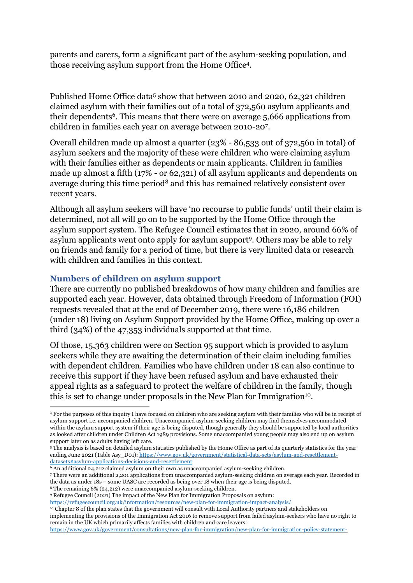parents and carers, form a significant part of the asylum-seeking population, and those receiving asylum support from the Home Office<sup>4</sup> .

Published Home Office data<sup>5</sup> show that between 2010 and 2020, 62,321 children claimed asylum with their families out of a total of 372,560 asylum applicants and their dependents<sup>6</sup>. This means that there were on average 5,666 applications from children in families each year on average between 2010-20<sup>7</sup> .

Overall children made up almost a quarter (23% - 86,533 out of 372,560 in total) of asylum seekers and the majority of these were children who were claiming asylum with their families either as dependents or main applicants. Children in families made up almost a fifth (17% - or 62,321) of all asylum applicants and dependents on average during this time period<sup>8</sup> and this has remained relatively consistent over recent years.

Although all asylum seekers will have 'no recourse to public funds' until their claim is determined, not all will go on to be supported by the Home Office through the asylum support system. The Refugee Council estimates that in 2020, around 66% of asylum applicants went onto apply for asylum support<sup>9</sup>. Others may be able to rely on friends and family for a period of time, but there is very limited data or research with children and families in this context.

### **Numbers of children on asylum support**

There are currently no published breakdowns of how many children and families are supported each year. However, data obtained through Freedom of Information (FOI) requests revealed that at the end of December 2019, there were 16,186 children (under 18) living on Asylum Support provided by the Home Office, making up over a third (34%) of the 47,353 individuals supported at that time.

Of those, 15,363 children were on Section 95 support which is provided to asylum seekers while they are awaiting the determination of their claim including families with dependent children. Families who have children under 18 can also continue to receive this support if they have been refused asylum and have exhausted their appeal rights as a safeguard to protect the welfare of children in the family, though this is set to change under proposals in the New Plan for Immigration<sup>10</sup>.

<https://refugeecouncil.org.uk/information/resources/new-plan-for-immigration-impact-analysis/>

<sup>10</sup> Chapter 8 of the plan states that the government will consult with Local Authority partners and stakeholders on implementing the provisions of the Immigration Act 2016 to remove support from failed asylum-seekers who have no right to remain in the UK which primarily affects families with children and care leavers:

[https://www.gov.uk/government/consultations/new-plan-for-immigration/new-plan-for-immigration-policy-statement-](https://www.gov.uk/government/consultations/new-plan-for-immigration/new-plan-for-immigration-policy-statement-accessible#chapter8)

<sup>4</sup> For the purposes of this inquiry I have focused on children who are seeking asylum with their families who will be in receipt of asylum support i.e. accompanied children. Unaccompanied asylum-seeking children may find themselves accommodated within the asylum support system if their age is being disputed, though generally they should be supported by local authorities as looked after children under Children Act 1989 provisions. Some unaccompanied young people may also end up on asylum support later on as adults having left care.

<sup>5</sup> The analysis is based on detailed asylum statistics published by the Home Office as part of its quarterly statistics for the year ending June 2021 (Table Asy\_D01): [https://www.gov.uk/government/statistical-data-sets/asylum-and-resettlement](https://www.gov.uk/government/statistical-data-sets/asylum-and-resettlement-datasets#asylum-applications-decisions-and-resettlement)[datasets#asylum-applications-decisions-and-resettlement](https://www.gov.uk/government/statistical-data-sets/asylum-and-resettlement-datasets#asylum-applications-decisions-and-resettlement) 

<sup>6</sup> An additional 24,212 claimed asylum on their own as unaccompanied asylum-seeking children.

<sup>7</sup> There were an additional 2,201 applications from unaccompanied asylum-seeking children on average each year. Recorded in the data as under 18s – some UASC are recorded as being over 18 when their age is being disputed.

<sup>8</sup> The remaining 6% (24,212) were unaccompanied asylum-seeking children.

<sup>9</sup> Refugee Council (2021) The impact of the New Plan for Immigration Proposals on asylum: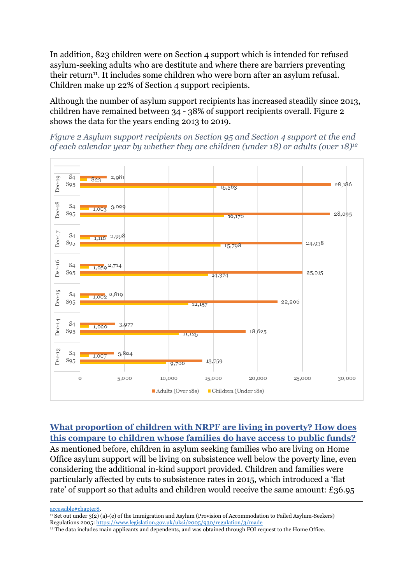In addition, 823 children were on Section 4 support which is intended for refused asylum-seeking adults who are destitute and where there are barriers preventing their return<sup>11</sup>. It includes some children who were born after an asylum refusal. Children make up 22% of Section 4 support recipients.

Although the number of asylum support recipients has increased steadily since 2013, children have remained between 34 - 38% of support recipients overall. Figure 2 shows the data for the years ending 2013 to 2019.





#### **What proportion of children with NRPF are living in poverty? How does this compare to children whose families do have access to public funds?**

As mentioned before, children in asylum seeking families who are living on Home Office asylum support will be living on subsistence well below the poverty line, even considering the additional in-kind support provided. Children and families were particularly affected by cuts to subsistence rates in 2015, which introduced a 'flat rate' of support so that adults and children would receive the same amount: £36.95

[accessible#chapter8.](https://www.gov.uk/government/consultations/new-plan-for-immigration/new-plan-for-immigration-policy-statement-accessible#chapter8)

<sup>12</sup> The data includes main applicants and dependents, and was obtained through FOI request to the Home Office.

<sup>11</sup> Set out under 3(2) (a)-(e) of the Immigration and Asylum (Provision of Accommodation to Failed Asylum-Seekers) Regulations 2005: <https://www.legislation.gov.uk/uksi/2005/930/regulation/3/made>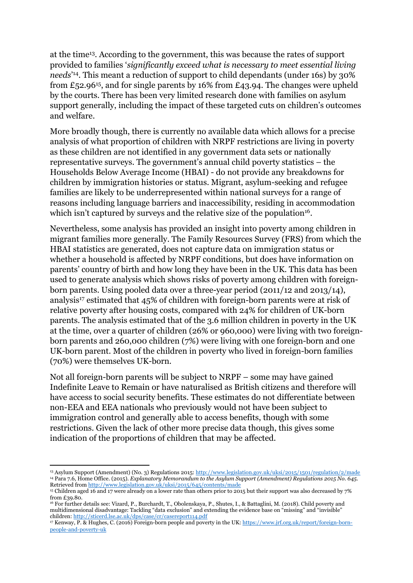at the time<sup>13</sup>. According to the government, this was because the rates of support provided to families '*significantly exceed what is necessary to meet essential living needs*' 14 . This meant a reduction of support to child dependants (under 16s) by 30% from £52.96<sup>15</sup>, and for single parents by 16% from £43.94. The changes were upheld by the courts. There has been very limited research done with families on asylum support generally, including the impact of these targeted cuts on children's outcomes and welfare.

More broadly though, there is currently no available data which allows for a precise analysis of what proportion of children with NRPF restrictions are living in poverty as these children are not identified in any government data sets or nationally representative surveys. The government's annual child poverty statistics – the Households Below Average Income (HBAI) - do not provide any breakdowns for children by immigration histories or status. Migrant, asylum-seeking and refugee families are likely to be underrepresented within national surveys for a range of reasons including language barriers and inaccessibility, residing in accommodation which isn't captured by surveys and the relative size of the population<sup>16</sup>.

Nevertheless, some analysis has provided an insight into poverty among children in migrant families more generally. The Family Resources Survey (FRS) from which the HBAI statistics are generated, does not capture data on immigration status or whether a household is affected by NRPF conditions, but does have information on parents' country of birth and how long they have been in the UK. This data has been used to generate analysis which shows risks of poverty among children with foreignborn parents. Using pooled data over a three-year period (2011/12 and 2013/14), analysis<sup>17</sup> estimated that 45% of children with foreign-born parents were at risk of relative poverty after housing costs, compared with 24% for children of UK-born parents. The analysis estimated that of the 3.6 million children in poverty in the UK at the time, over a quarter of children (26% or 960,000) were living with two foreignborn parents and 260,000 children (7%) were living with one foreign-born and one UK-born parent. Most of the children in poverty who lived in foreign-born families (70%) were themselves UK-born.

Not all foreign-born parents will be subject to NRPF – some may have gained Indefinite Leave to Remain or have naturalised as British citizens and therefore will have access to social security benefits. These estimates do not differentiate between non-EEA and EEA nationals who previously would not have been subject to immigration control and generally able to access benefits, though with some restrictions. Given the lack of other more precise data though, this gives some indication of the proportions of children that may be affected.

<sup>13</sup> Asylum Support (Amendment) (No. 3) Regulations 2015: <http://www.legislation.gov.uk/uksi/2015/1501/regulation/2/made> <sup>14</sup> Para 7.6, Home Office. (2015). *Explanatory Memorandum to the Asylum Support (Amendment) Regulations 2015 No. 645*. Retrieved from <http://www.legislation.gov.uk/uksi/2015/645/contents/made>

<sup>15</sup> Children aged 16 and 17 were already on a lower rate than others prior to 2015 but their support was also decreased by 7% from  $£39.80$ .

<sup>16</sup> For further details see: Vizard, P., Burchardt, T., Obolenskaya, P., Shutes, I., & Battaglini, M. (2018). Child poverty and multidimensional disadvantage: Tackling "data exclusion" and extending the evidence base on "missing" and "invisible" children: <http://sticerd.lse.ac.uk/dps/case/cr/casereport114.pdf>

<sup>17</sup> Kenway, P. & Hughes, C. (2016) Foreign-born people and poverty in the UK: [https://www.jrf.org.uk/report/foreign-born](https://www.jrf.org.uk/report/foreign-born-people-and-poverty-uk)[people-and-poverty-uk](https://www.jrf.org.uk/report/foreign-born-people-and-poverty-uk)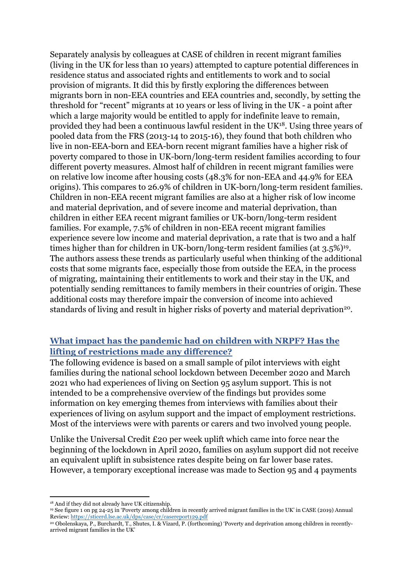Separately analysis by colleagues at CASE of children in recent migrant families (living in the UK for less than 10 years) attempted to capture potential differences in residence status and associated rights and entitlements to work and to social provision of migrants. It did this by firstly exploring the differences between migrants born in non-EEA countries and EEA countries and, secondly, by setting the threshold for "recent" migrants at 10 years or less of living in the UK - a point after which a large majority would be entitled to apply for indefinite leave to remain, provided they had been a continuous lawful resident in the UK<sup>18</sup>. Using three years of pooled data from the FRS (2013-14 to 2015-16), they found that both children who live in non-EEA-born and EEA-born recent migrant families have a higher risk of poverty compared to those in UK-born/long-term resident families according to four different poverty measures. Almost half of children in recent migrant families were on relative low income after housing costs (48.3% for non-EEA and 44.9% for EEA origins). This compares to 26.9% of children in UK-born/long-term resident families. Children in non-EEA recent migrant families are also at a higher risk of low income and material deprivation, and of severe income and material deprivation, than children in either EEA recent migrant families or UK-born/long-term resident families. For example, 7.5% of children in non-EEA recent migrant families experience severe low income and material deprivation, a rate that is two and a half times higher than for children in UK-born/long-term resident families (at 3.5%)<sup>19</sup>. The authors assess these trends as particularly useful when thinking of the additional costs that some migrants face, especially those from outside the EEA, in the process of migrating, maintaining their entitlements to work and their stay in the UK, and potentially sending remittances to family members in their countries of origin. These additional costs may therefore impair the conversion of income into achieved standards of living and result in higher risks of poverty and material deprivation<sup>20</sup>.

# **What impact has the pandemic had on children with NRPF? Has the lifting of restrictions made any difference?**

The following evidence is based on a small sample of pilot interviews with eight families during the national school lockdown between December 2020 and March 2021 who had experiences of living on Section 95 asylum support. This is not intended to be a comprehensive overview of the findings but provides some information on key emerging themes from interviews with families about their experiences of living on asylum support and the impact of employment restrictions. Most of the interviews were with parents or carers and two involved young people.

Unlike the Universal Credit £20 per week uplift which came into force near the beginning of the lockdown in April 2020, families on asylum support did not receive an equivalent uplift in subsistence rates despite being on far lower base rates. However, a temporary exceptional increase was made to Section 95 and 4 payments

<sup>18</sup> And if they did not already have UK citizenship.

<sup>19</sup> See figure 1 on pg 24-25 in 'Poverty among children in recently arrived migrant families in the UK' in CASE (2019) Annual Review: <https://sticerd.lse.ac.uk/dps/case/cr/casereport129.pdf>

<sup>20</sup> Obolenskaya, P., Burchardt, T., Shutes, I. & Vizard, P. (forthcoming) 'Poverty and deprivation among children in recentlyarrived migrant families in the UK'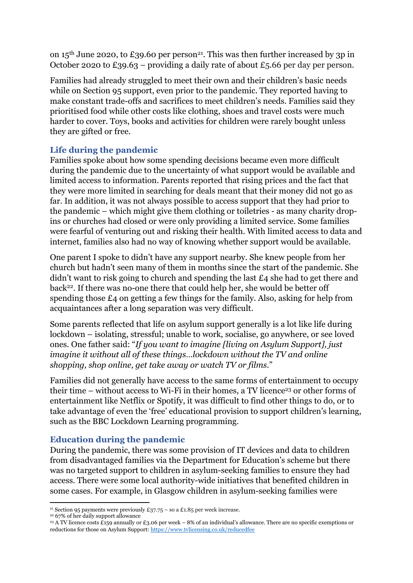on  $15<sup>th</sup>$  June 2020, to £39.60 per person<sup>21</sup>. This was then further increased by 3p in October 2020 to £39.63 – providing a daily rate of about £5.66 per day per person.

Families had already struggled to meet their own and their children's basic needs while on Section 95 support, even prior to the pandemic. They reported having to make constant trade-offs and sacrifices to meet children's needs. Families said they prioritised food while other costs like clothing, shoes and travel costs were much harder to cover. Toys, books and activities for children were rarely bought unless they are gifted or free.

# **Life during the pandemic**

Families spoke about how some spending decisions became even more difficult during the pandemic due to the uncertainty of what support would be available and limited access to information. Parents reported that rising prices and the fact that they were more limited in searching for deals meant that their money did not go as far. In addition, it was not always possible to access support that they had prior to the pandemic – which might give them clothing or toiletries - as many charity dropins or churches had closed or were only providing a limited service. Some families were fearful of venturing out and risking their health. With limited access to data and internet, families also had no way of knowing whether support would be available.

One parent I spoke to didn't have any support nearby. She knew people from her church but hadn't seen many of them in months since the start of the pandemic. She didn't want to risk going to church and spending the last £4 she had to get there and back<sup>22</sup> . If there was no-one there that could help her, she would be better off spending those £4 on getting a few things for the family. Also, asking for help from acquaintances after a long separation was very difficult.

Some parents reflected that life on asylum support generally is a lot like life during lockdown – isolating, stressful; unable to work, socialise, go anywhere, or see loved ones. One father said: "*If you want to imagine [living on Asylum Support], just imagine it without all of these things…lockdown without the TV and online shopping, shop online, get take away or watch TV or films*."

Families did not generally have access to the same forms of entertainment to occupy their time – without access to Wi-Fi in their homes, a TV licence<sup>23</sup> or other forms of entertainment like Netflix or Spotify, it was difficult to find other things to do, or to take advantage of even the 'free' educational provision to support children's learning, such as the BBC Lockdown Learning programming.

## **Education during the pandemic**

During the pandemic, there was some provision of IT devices and data to children from disadvantaged families via the Department for Education's scheme but there was no targeted support to children in asylum-seeking families to ensure they had access. There were some local authority-wide initiatives that benefited children in some cases. For example, in Glasgow children in asylum-seeking families were

<sup>&</sup>lt;sup>21</sup> Section 95 payments were previously £37.75 – so a £1.85 per week increase.

<sup>22</sup> 67% of her daily support allowance

<sup>&</sup>lt;sup>23</sup> A TV licence costs £159 annually or £3.06 per week – 8% of an individual's allowance. There are no specific exemptions or reductions for those on Asylum Support: <https://www.tvlicensing.co.uk/reducedfee>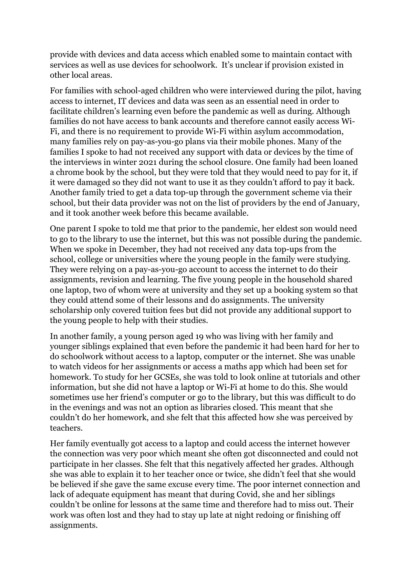provide with devices and data access which enabled some to maintain contact with services as well as use devices for schoolwork. It's unclear if provision existed in other local areas.

For families with school-aged children who were interviewed during the pilot, having access to internet, IT devices and data was seen as an essential need in order to facilitate children's learning even before the pandemic as well as during. Although families do not have access to bank accounts and therefore cannot easily access Wi-Fi, and there is no requirement to provide Wi-Fi within asylum accommodation, many families rely on pay-as-you-go plans via their mobile phones. Many of the families I spoke to had not received any support with data or devices by the time of the interviews in winter 2021 during the school closure. One family had been loaned a chrome book by the school, but they were told that they would need to pay for it, if it were damaged so they did not want to use it as they couldn't afford to pay it back. Another family tried to get a data top-up through the government scheme via their school, but their data provider was not on the list of providers by the end of January, and it took another week before this became available.

One parent I spoke to told me that prior to the pandemic, her eldest son would need to go to the library to use the internet, but this was not possible during the pandemic. When we spoke in December, they had not received any data top-ups from the school, college or universities where the young people in the family were studying. They were relying on a pay-as-you-go account to access the internet to do their assignments, revision and learning. The five young people in the household shared one laptop, two of whom were at university and they set up a booking system so that they could attend some of their lessons and do assignments. The university scholarship only covered tuition fees but did not provide any additional support to the young people to help with their studies.

In another family, a young person aged 19 who was living with her family and younger siblings explained that even before the pandemic it had been hard for her to do schoolwork without access to a laptop, computer or the internet. She was unable to watch videos for her assignments or access a maths app which had been set for homework. To study for her GCSEs, she was told to look online at tutorials and other information, but she did not have a laptop or Wi-Fi at home to do this. She would sometimes use her friend's computer or go to the library, but this was difficult to do in the evenings and was not an option as libraries closed. This meant that she couldn't do her homework, and she felt that this affected how she was perceived by teachers.

Her family eventually got access to a laptop and could access the internet however the connection was very poor which meant she often got disconnected and could not participate in her classes. She felt that this negatively affected her grades. Although she was able to explain it to her teacher once or twice, she didn't feel that she would be believed if she gave the same excuse every time. The poor internet connection and lack of adequate equipment has meant that during Covid, she and her siblings couldn't be online for lessons at the same time and therefore had to miss out. Their work was often lost and they had to stay up late at night redoing or finishing off assignments.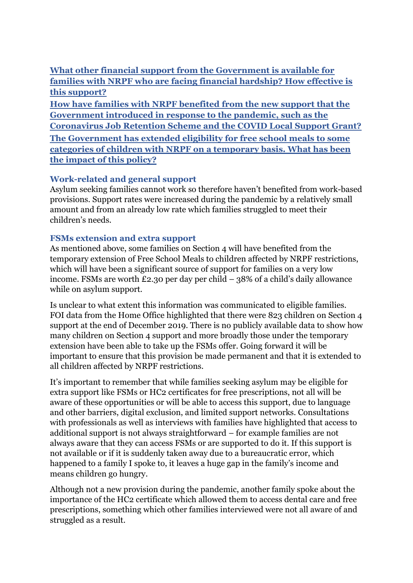**What other financial support from the Government is available for families with NRPF who are facing financial hardship? How effective is this support?**

**How have families with NRPF benefited from the new support that the Government introduced in response to the pandemic, such as the Coronavirus Job Retention Scheme and the COVID Local Support Grant? The Government has extended eligibility for free school meals to some categories of children with NRPF on a temporary basis. What has been the impact of this policy?**

# **Work-related and general support**

Asylum seeking families cannot work so therefore haven't benefited from work-based provisions. Support rates were increased during the pandemic by a relatively small amount and from an already low rate which families struggled to meet their children's needs.

## **FSMs extension and extra support**

As mentioned above, some families on Section 4 will have benefited from the temporary extension of Free School Meals to children affected by NRPF restrictions, which will have been a significant source of support for families on a very low income. FSMs are worth £2.30 per day per child – 38% of a child's daily allowance while on asylum support.

Is unclear to what extent this information was communicated to eligible families. FOI data from the Home Office highlighted that there were 823 children on Section 4 support at the end of December 2019. There is no publicly available data to show how many children on Section 4 support and more broadly those under the temporary extension have been able to take up the FSMs offer. Going forward it will be important to ensure that this provision be made permanent and that it is extended to all children affected by NRPF restrictions.

It's important to remember that while families seeking asylum may be eligible for extra support like FSMs or HC2 certificates for free prescriptions, not all will be aware of these opportunities or will be able to access this support, due to language and other barriers, digital exclusion, and limited support networks. Consultations with professionals as well as interviews with families have highlighted that access to additional support is not always straightforward – for example families are not always aware that they can access FSMs or are supported to do it. If this support is not available or if it is suddenly taken away due to a bureaucratic error, which happened to a family I spoke to, it leaves a huge gap in the family's income and means children go hungry.

Although not a new provision during the pandemic, another family spoke about the importance of the HC2 certificate which allowed them to access dental care and free prescriptions, something which other families interviewed were not all aware of and struggled as a result.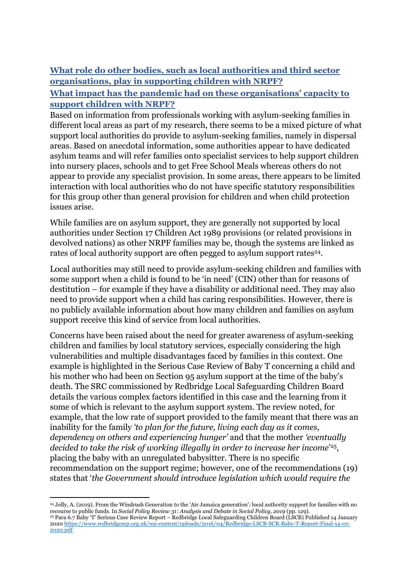# **What role do other bodies, such as local authorities and third sector organisations, play in supporting children with NRPF?**

## **What impact has the pandemic had on these organisations' capacity to support children with NRPF?**

Based on information from professionals working with asylum-seeking families in different local areas as part of my research, there seems to be a mixed picture of what support local authorities do provide to asylum-seeking families, namely in dispersal areas. Based on anecdotal information, some authorities appear to have dedicated asylum teams and will refer families onto specialist services to help support children into nursery places, schools and to get Free School Meals whereas others do not appear to provide any specialist provision. In some areas, there appears to be limited interaction with local authorities who do not have specific statutory responsibilities for this group other than general provision for children and when child protection issues arise.

While families are on asylum support, they are generally not supported by local authorities under Section 17 Children Act 1989 provisions (or related provisions in devolved nations) as other NRPF families may be, though the systems are linked as rates of local authority support are often pegged to asylum support rates<sup>24</sup>.

Local authorities may still need to provide asylum-seeking children and families with some support when a child is found to be 'in need' (CIN) other than for reasons of destitution – for example if they have a disability or additional need. They may also need to provide support when a child has caring responsibilities. However, there is no publicly available information about how many children and families on asylum support receive this kind of service from local authorities.

Concerns have been raised about the need for greater awareness of asylum-seeking children and families by local statutory services, especially considering the high vulnerabilities and multiple disadvantages faced by families in this context. One example is highlighted in the Serious Case Review of Baby T concerning a child and his mother who had been on Section 95 asylum support at the time of the baby's death. The SRC commissioned by Redbridge Local Safeguarding Children Board details the various complex factors identified in this case and the learning from it some of which is relevant to the asylum support system. The review noted, for example, that the low rate of support provided to the family meant that there was an inability for the family *'to plan for the future, living each day as it comes, dependency on others and experiencing hunger'* and that the mother *'eventually decided to take the risk of working illegally in order to increase her income*' 25 , placing the baby with an unregulated babysitter. There is no specific recommendation on the support regime; however, one of the recommendations (19) states that '*the Government should introduce legislation which would require the*

<sup>24</sup> Jolly, A. (2019). From the Windrush Generation to the 'Air Jamaica generation': local authority support for families with no recourse to public funds. In *Social Policy Review 31: Analysis and Debate in Social Policy, 2019* (pp. 129). <sup>25</sup> Para 6.7 Baby 'T' Serious Case Review Report – Redbridge Local Safeguarding Children Board (LSCB) Published 14 January 2020 [https://www.redbridgescp.org.uk/wp-content/uploads/2016/04/Redbridge-LSCB-SCR-Baby-T-Report-Final-14-01-](https://www.redbridgescp.org.uk/wp-content/uploads/2016/04/Redbridge-LSCB-SCR-Baby-T-Report-Final-14-01-2020.pdf) [2020.pdf](https://www.redbridgescp.org.uk/wp-content/uploads/2016/04/Redbridge-LSCB-SCR-Baby-T-Report-Final-14-01-2020.pdf)